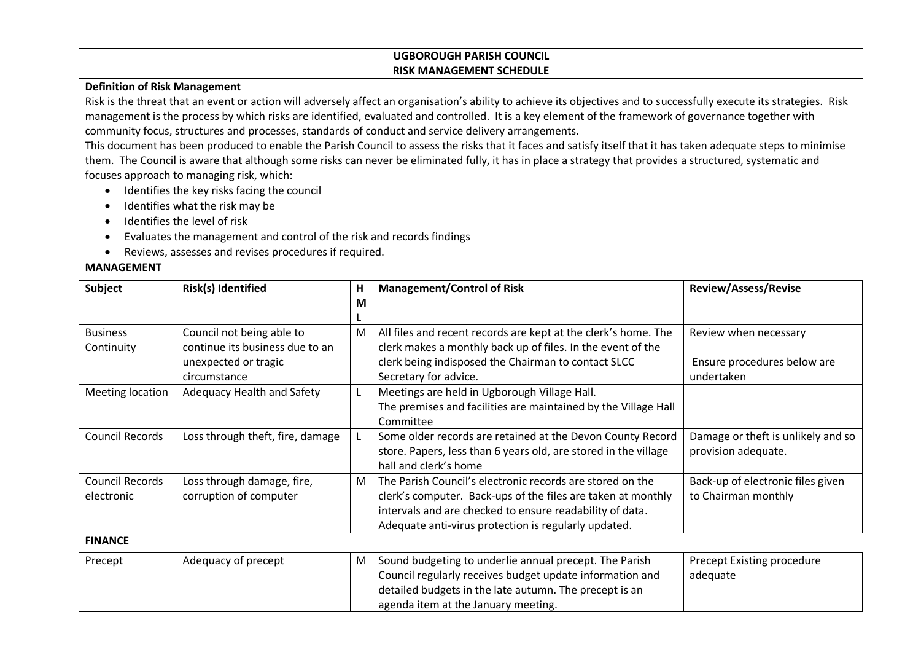## **UGBOROUGH PARISH COUNCIL RISK MANAGEMENT SCHEDULE**

## **Definition of Risk Management**

Risk is the threat that an event or action will adversely affect an organisation's ability to achieve its objectives and to successfully execute its strategies. Risk management is the process by which risks are identified, evaluated and controlled. It is a key element of the framework of governance together with community focus, structures and processes, standards of conduct and service delivery arrangements.

This document has been produced to enable the Parish Council to assess the risks that it faces and satisfy itself that it has taken adequate steps to minimise them. The Council is aware that although some risks can never be eliminated fully, it has in place a strategy that provides a structured, systematic and focuses approach to managing risk, which:

- Identifies the key risks facing the council
- Identifies what the risk may be
- Identifies the level of risk
- Evaluates the management and control of the risk and records findings
- Reviews, assesses and revises procedures if required.

## **MANAGEMENT**

| <b>Subject</b>                       | Risk(s) Identified                                                                                   | Н<br>M | <b>Management/Control of Risk</b>                                                                                                                                                                                                             | <b>Review/Assess/Revise</b>                                        |  |  |  |
|--------------------------------------|------------------------------------------------------------------------------------------------------|--------|-----------------------------------------------------------------------------------------------------------------------------------------------------------------------------------------------------------------------------------------------|--------------------------------------------------------------------|--|--|--|
| <b>Business</b><br>Continuity        | Council not being able to<br>continue its business due to an<br>unexpected or tragic<br>circumstance | M      | All files and recent records are kept at the clerk's home. The<br>clerk makes a monthly back up of files. In the event of the<br>clerk being indisposed the Chairman to contact SLCC<br>Secretary for advice.                                 | Review when necessary<br>Ensure procedures below are<br>undertaken |  |  |  |
| Meeting location                     | Adequacy Health and Safety                                                                           |        | Meetings are held in Ugborough Village Hall.<br>The premises and facilities are maintained by the Village Hall<br>Committee                                                                                                                   |                                                                    |  |  |  |
| <b>Council Records</b>               | Loss through theft, fire, damage                                                                     |        | Some older records are retained at the Devon County Record<br>store. Papers, less than 6 years old, are stored in the village<br>hall and clerk's home                                                                                        | Damage or theft is unlikely and so<br>provision adequate.          |  |  |  |
| <b>Council Records</b><br>electronic | Loss through damage, fire,<br>corruption of computer                                                 | M      | The Parish Council's electronic records are stored on the<br>clerk's computer. Back-ups of the files are taken at monthly<br>intervals and are checked to ensure readability of data.<br>Adequate anti-virus protection is regularly updated. | Back-up of electronic files given<br>to Chairman monthly           |  |  |  |
| <b>FINANCE</b>                       |                                                                                                      |        |                                                                                                                                                                                                                                               |                                                                    |  |  |  |
| Precept                              | Adequacy of precept                                                                                  | M      | Sound budgeting to underlie annual precept. The Parish<br>Council regularly receives budget update information and<br>detailed budgets in the late autumn. The precept is an<br>agenda item at the January meeting.                           | Precept Existing procedure<br>adequate                             |  |  |  |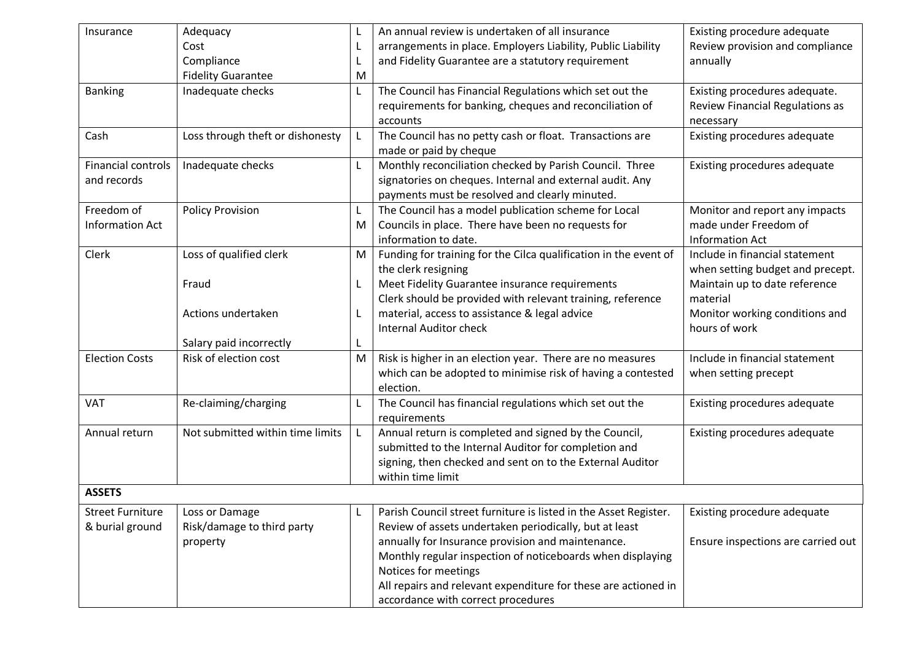| Insurance                 | Adequacy                         |   | An annual review is undertaken of all insurance                  | Existing procedure adequate        |
|---------------------------|----------------------------------|---|------------------------------------------------------------------|------------------------------------|
|                           | Cost                             |   | arrangements in place. Employers Liability, Public Liability     | Review provision and compliance    |
|                           | Compliance                       |   | and Fidelity Guarantee are a statutory requirement               | annually                           |
|                           | <b>Fidelity Guarantee</b>        | M |                                                                  |                                    |
| <b>Banking</b>            | Inadequate checks                | L | The Council has Financial Regulations which set out the          | Existing procedures adequate.      |
|                           |                                  |   | requirements for banking, cheques and reconciliation of          | Review Financial Regulations as    |
|                           |                                  |   | accounts                                                         | necessary                          |
| Cash                      | Loss through theft or dishonesty |   | The Council has no petty cash or float. Transactions are         | Existing procedures adequate       |
|                           |                                  |   | made or paid by cheque                                           |                                    |
| <b>Financial controls</b> | Inadequate checks                |   | Monthly reconciliation checked by Parish Council. Three          | Existing procedures adequate       |
| and records               |                                  |   | signatories on cheques. Internal and external audit. Any         |                                    |
|                           |                                  |   | payments must be resolved and clearly minuted.                   |                                    |
| Freedom of                | <b>Policy Provision</b>          | L | The Council has a model publication scheme for Local             | Monitor and report any impacts     |
| <b>Information Act</b>    |                                  | M | Councils in place. There have been no requests for               | made under Freedom of              |
|                           |                                  |   | information to date.                                             | <b>Information Act</b>             |
| Clerk                     | Loss of qualified clerk          | M | Funding for training for the Cilca qualification in the event of | Include in financial statement     |
|                           |                                  |   | the clerk resigning                                              | when setting budget and precept.   |
|                           | Fraud                            |   | Meet Fidelity Guarantee insurance requirements                   | Maintain up to date reference      |
|                           |                                  |   | Clerk should be provided with relevant training, reference       | material                           |
|                           | Actions undertaken               |   | material, access to assistance & legal advice                    | Monitor working conditions and     |
|                           |                                  |   | <b>Internal Auditor check</b>                                    | hours of work                      |
|                           | Salary paid incorrectly          |   |                                                                  |                                    |
| <b>Election Costs</b>     | Risk of election cost            | M | Risk is higher in an election year. There are no measures        | Include in financial statement     |
|                           |                                  |   | which can be adopted to minimise risk of having a contested      | when setting precept               |
|                           |                                  |   | election.                                                        |                                    |
| <b>VAT</b>                | Re-claiming/charging             | L | The Council has financial regulations which set out the          | Existing procedures adequate       |
|                           |                                  |   | requirements                                                     |                                    |
| Annual return             | Not submitted within time limits |   | Annual return is completed and signed by the Council,            | Existing procedures adequate       |
|                           |                                  |   | submitted to the Internal Auditor for completion and             |                                    |
|                           |                                  |   | signing, then checked and sent on to the External Auditor        |                                    |
|                           |                                  |   | within time limit                                                |                                    |
| <b>ASSETS</b>             |                                  |   |                                                                  |                                    |
| <b>Street Furniture</b>   | Loss or Damage                   |   | Parish Council street furniture is listed in the Asset Register. | Existing procedure adequate        |
| & burial ground           | Risk/damage to third party       |   | Review of assets undertaken periodically, but at least           |                                    |
|                           | property                         |   | annually for Insurance provision and maintenance.                | Ensure inspections are carried out |
|                           |                                  |   | Monthly regular inspection of noticeboards when displaying       |                                    |
|                           |                                  |   | Notices for meetings                                             |                                    |
|                           |                                  |   | All repairs and relevant expenditure for these are actioned in   |                                    |
|                           |                                  |   | accordance with correct procedures                               |                                    |
|                           |                                  |   |                                                                  |                                    |